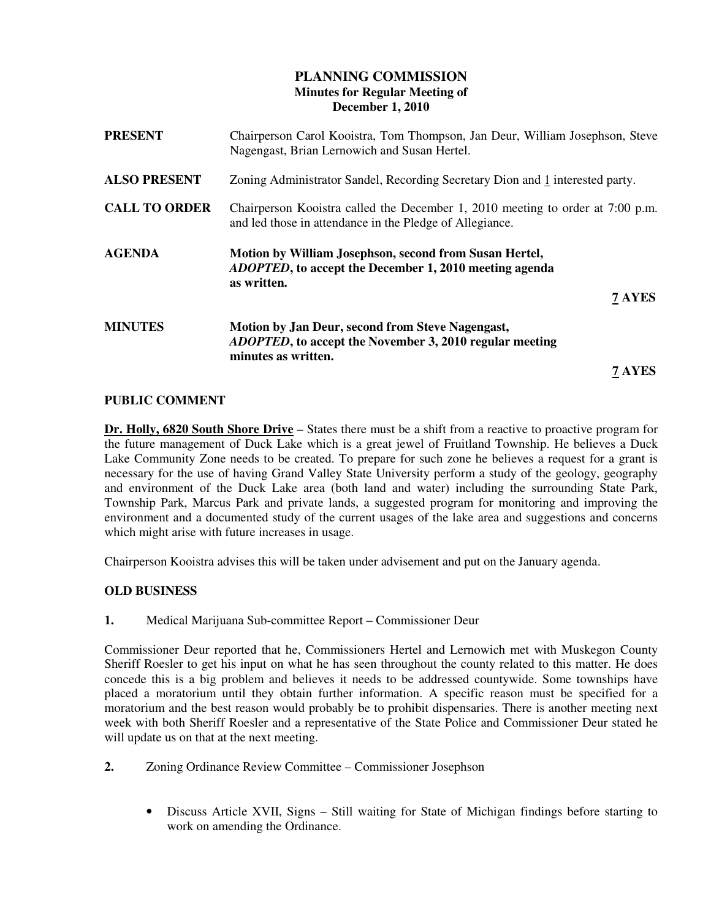# **PLANNING COMMISSION Minutes for Regular Meeting of December 1, 2010**

| <b>PRESENT</b>       | Chairperson Carol Kooistra, Tom Thompson, Jan Deur, William Josephson, Steve<br>Nagengast, Brian Lernowich and Susan Hertel.                      |  |
|----------------------|---------------------------------------------------------------------------------------------------------------------------------------------------|--|
| <b>ALSO PRESENT</b>  | Zoning Administrator Sandel, Recording Secretary Dion and 1 interested party.                                                                     |  |
| <b>CALL TO ORDER</b> | Chairperson Kooistra called the December 1, 2010 meeting to order at 7:00 p.m.<br>and led those in attendance in the Pledge of Allegiance.        |  |
| <b>AGENDA</b>        | Motion by William Josephson, second from Susan Hertel,<br><i>ADOPTED</i> , to accept the December 1, 2010 meeting agenda<br>as written.<br>7 AYES |  |
| <b>MINUTES</b>       | Motion by Jan Deur, second from Steve Nagengast,<br><b>ADOPTED, to accept the November 3, 2010 regular meeting</b><br>minutes as written.         |  |
|                      | 7 AYES                                                                                                                                            |  |

## **PUBLIC COMMENT**

**Dr. Holly, 6820 South Shore Drive** – States there must be a shift from a reactive to proactive program for the future management of Duck Lake which is a great jewel of Fruitland Township. He believes a Duck Lake Community Zone needs to be created. To prepare for such zone he believes a request for a grant is necessary for the use of having Grand Valley State University perform a study of the geology, geography and environment of the Duck Lake area (both land and water) including the surrounding State Park, Township Park, Marcus Park and private lands, a suggested program for monitoring and improving the environment and a documented study of the current usages of the lake area and suggestions and concerns which might arise with future increases in usage.

Chairperson Kooistra advises this will be taken under advisement and put on the January agenda.

## **OLD BUSINESS**

**1.** Medical Marijuana Sub-committee Report – Commissioner Deur

Commissioner Deur reported that he, Commissioners Hertel and Lernowich met with Muskegon County Sheriff Roesler to get his input on what he has seen throughout the county related to this matter. He does concede this is a big problem and believes it needs to be addressed countywide. Some townships have placed a moratorium until they obtain further information. A specific reason must be specified for a moratorium and the best reason would probably be to prohibit dispensaries. There is another meeting next week with both Sheriff Roesler and a representative of the State Police and Commissioner Deur stated he will update us on that at the next meeting.

- **2.** Zoning Ordinance Review Committee Commissioner Josephson
	- Discuss Article XVII, Signs Still waiting for State of Michigan findings before starting to work on amending the Ordinance.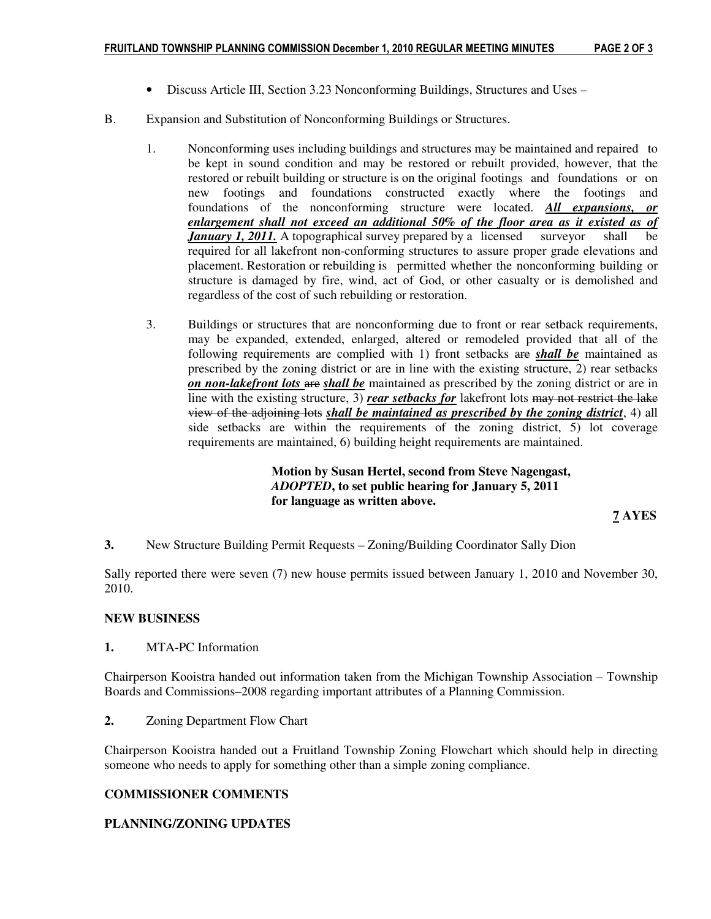- Discuss Article III, Section 3.23 Nonconforming Buildings, Structures and Uses –
- B. Expansion and Substitution of Nonconforming Buildings or Structures.
	- 1. Nonconforming uses including buildings and structures may be maintained and repaired to be kept in sound condition and may be restored or rebuilt provided, however, that the restored or rebuilt building or structure is on the original footings and foundations or on new footings and foundations constructed exactly where the footings and foundations of the nonconforming structure were located. *All expansions, or enlargement shall not exceed an additional 50% of the floor area as it existed as of January 1, 2011.* A topographical survey prepared by a licensed surveyor shall be required for all lakefront non-conforming structures to assure proper grade elevations and placement. Restoration or rebuilding is permitted whether the nonconforming building or structure is damaged by fire, wind, act of God, or other casualty or is demolished and regardless of the cost of such rebuilding or restoration.
	- 3. Buildings or structures that are nonconforming due to front or rear setback requirements, may be expanded, extended, enlarged, altered or remodeled provided that all of the following requirements are complied with 1) front setbacks are *shall be* maintained as prescribed by the zoning district or are in line with the existing structure, 2) rear setbacks *on non-lakefront lots* are *shall be* maintained as prescribed by the zoning district or are in line with the existing structure, 3) *rear setbacks for* lakefront lots may not restrict the lake view of the adjoining lots *shall be maintained as prescribed by the zoning district*, 4) all side setbacks are within the requirements of the zoning district, 5) lot coverage requirements are maintained, 6) building height requirements are maintained.

 **Motion by Susan Hertel, second from Steve Nagengast,** *ADOPTED***, to set public hearing for January 5, 2011 for language as written above.** 

**7 AYES** 

**3.** New Structure Building Permit Requests – Zoning/Building Coordinator Sally Dion

Sally reported there were seven (7) new house permits issued between January 1, 2010 and November 30, 2010.

## **NEW BUSINESS**

**1.** MTA-PC Information

Chairperson Kooistra handed out information taken from the Michigan Township Association – Township Boards and Commissions–2008 regarding important attributes of a Planning Commission.

**2.** Zoning Department Flow Chart

Chairperson Kooistra handed out a Fruitland Township Zoning Flowchart which should help in directing someone who needs to apply for something other than a simple zoning compliance.

## **COMMISSIONER COMMENTS**

## **PLANNING/ZONING UPDATES**